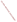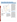# **Hoopa Valley Indian Reservation**



For a copy of the Hoopa Valley Indian Reservation 1994 305(b) report, contact:

#### **Colleen Goff**

P.O. Box 1314 Hoopa, CA 95546 (916) 625-4275

### **Surface Water Quality**

The Hoopa Valley Indian Reservation covers almost 139 square miles in Humboldt County in northern California. The Reservation contains 133 miles of rivers and streams, including a section of the Trinity River, and 3,200 acres of wetlands. The Reservation does not contain any lakes.

Surface waters on the Reservation appear to be free of toxic organic chemicals, but poor forest management practices and mining operations, both on and off the Reservation, have caused significant siltation that has destroyed gravel spawning beds. Water diversions, including the damming of the Trinity River above the Reservation, have also stressed the fishery by lowering stream volume and flow velocity. Low flows raise water temperatures and reduce flushing of accumulated silt in the gravel beds. Upstream dams also stop gravel from moving downstream to replace excavated gravel. Elevated fecal coliform concentrations also impair drinking water use on the Reservation.

### **Ground Water Quality**

Ground water sampling revealed elevated concentrations of lead, cadmium, manganese, iron, and fecal coliforms in some wells. The Tribe is concerned about potential contamination of ground water from leaking underground storage tanks, septic system leachfields, and abandoned hazardous waste sites with documented soil contamination. These sites contain dioxins, herbicides, nitrates, PCBs, metals, and other toxic organic chemicals. The Tribe's environmental consultants are designing a ground water sampling program to monitor potential threats to ground water.